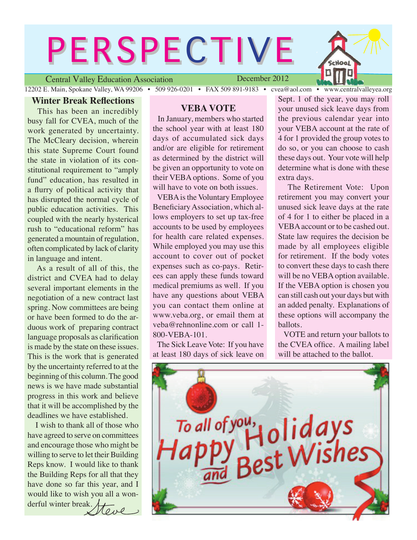# **PERSPECTIVE**

Central Valley Education Association

December 2012

12202 E. Main, Spokane Valley, WA 99206 • 509 926-0201 • FAX 509 891-9183 • cvea@aol.com • www.centralvalleyea.org

#### **Winter Break Reflections**

 This has been an incredibly busy fall for CVEA, much of the work generated by uncertainty. The McCleary decision, wherein this state Supreme Court found the state in violation of its constitutional requirement to "amply fund" education, has resulted in a flurry of political activity that has disrupted the normal cycle of public education activities. This coupled with the nearly hysterical rush to "educational reform" has generated a mountain of regulation, often complicated by lack of clarity in language and intent.

 As a result of all of this, the district and CVEA had to delay several important elements in the negotiation of a new contract last spring. Now committees are being or have been formed to do the arduous work of preparing contract language proposals as clarification is made by the state on these issues. This is the work that is generated by the uncertainty referred to at the beginning of this column. The good news is we have made substantial progress in this work and believe that it will be accomplished by the deadlines we have established.

 I wish to thank all of those who have agreed to serve on committees and encourage those who might be willing to serve to let their Building Reps know. I would like to thank the Building Reps for all that they have done so far this year, and I would like to wish you all a wonderful winter break.ove

#### **VEBA VOTE**

 In January, members who started the school year with at least 180 days of accumulated sick days and/or are eligible for retirement as determined by the district will be given an opportunity to vote on their VEBA options. Some of you will have to vote on both issues.

 VEBA is the Voluntary Employee Beneficiary Association, which allows employers to set up tax-free accounts to be used by employees for health care related expenses. While employed you may use this account to cover out of pocket expenses such as co-pays. Retirees can apply these funds toward medical premiums as well. If you have any questions about VEBA you can contact them online at www.veba.org, or email them at veba@rehnonline.com or call 1- 800-VEBA-101.

 The Sick Leave Vote: If you have at least 180 days of sick leave on

Sept. 1 of the year, you may roll your unused sick leave days from the previous calendar year into your VEBA account at the rate of 4 for 1 provided the group votes to do so, or you can choose to cash these days out. Your vote will help determine what is done with these extra days.

Hool

 The Retirement Vote: Upon retirement you may convert your unused sick leave days at the rate of 4 for 1 to either be placed in a VEBA account or to be cashed out. State law requires the decision be made by all employees eligible for retirement. If the body votes to convert these days to cash there will be no VEBA option available. If the VEBA option is chosen you can still cash out your days but with an added penalty. Explanations of these options will accompany the ballots.

 VOTE and return your ballots to the CVEA office. A mailing label will be attached to the ballot.

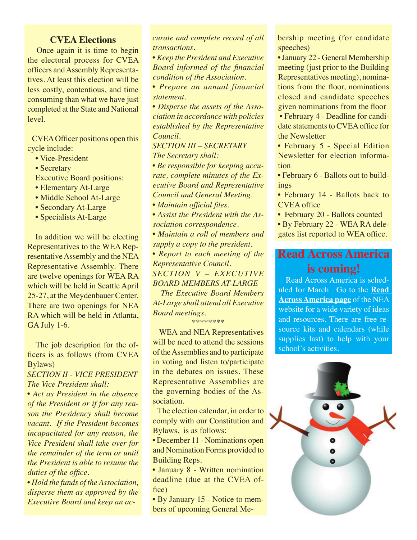#### **CVEA Elections**

 Once again it is time to begin the electoral process for CVEA officers and Assembly Representatives. At least this election will be less costly, contentious, and time consuming than what we have just completed at the State and National level.

 CVEA Officer positions open this cycle include:

- Vice-President
- Secretary
- Executive Board positions:
- Elementary At-Large
- Middle School At-Large
- Secondary At-Large
- Specialists At-Large

 In addition we will be electing Representatives to the WEA Representative Assembly and the NEA Representative Assembly. There are twelve openings for WEA RA which will be held in Seattle April 25-27, at the Meydenbauer Center. There are two openings for NEA RA which will be held in Atlanta, GA July 1-6.

 The job description for the officers is as follows (from CVEA Bylaws)

#### *SECTION II - VICE PRESIDENT The Vice President shall:*

*• Act as President in the absence of the President or if for any reason the Presidency shall become vacant. If the President becomes incapacitated for any reason, the Vice President shall take over for the remainder of the term or until the President is able to resume the duties of the office.*

*• Hold the funds of the Association, disperse them as approved by the Executive Board and keep an ac-* *curate and complete record of all transactions.*

*• Keep the President and Executive Board informed of the financial condition of the Association.*

*• Prepare an annual financial statement.*

*• Disperse the assets of the Association in accordance with policies established by the Representative Council.*

*SECTION III – SECRETARY*

 *The Secretary shall:*

*• Be responsible for keeping accurate, complete minutes of the Executive Board and Representative Council and General Meeting.*

*• Maintain official files.*

*• Assist the President with the Association correspondence.*

*• Maintain a roll of members and supply a copy to the president.*

*• Report to each meeting of the Representative Council. SECTION V – EXECUTIVE BOARD MEMBERS AT-LARGE*

 *The Executive Board Members At-Large shall attend all Executive Board meetings.*

\*\*\*\*\*\*\*\*

 WEA and NEA Representatives will be need to attend the sessions of the Assemblies and to participate in voting and listen to/participate in the debates on issues. These Representative Assemblies are the governing bodies of the Association.

 The election calendar, in order to comply with our Constitution and Bylaws, is as follows:

• December 11 - Nominations open and Nomination Forms provided to Building Reps.

• January 8 - Written nomination deadline (due at the CVEA office)

• By January 15 - Notice to members of upcoming General Mebership meeting (for candidate speeches)

• January 22 - General Membership meeting (just prior to the Building Representatives meeting), nominations from the floor, nominations closed and candidate speeches given nominations from the floor

 • February 4 - Deadline for candidate statements to CVEA office for the Newsletter

• February 5 - Special Edition Newsletter for election information

• February 6 - Ballots out to buildings

• February 14 - Ballots back to CVEA office

• February 20 - Ballots counted

• By February 22 - WEA RA delegates list reported to WEA office.

## **Read Across America is coming!**

 Read Across America is scheduled for March . Go to the **[Read](http://www.nea.org/grants/886.htm)  [Across America](http://www.nea.org/grants/886.htm) page** of the NEA website for a wide variety of ideas and resources. There are free resource kits and calendars (while supplies last) to help with your school's activities.

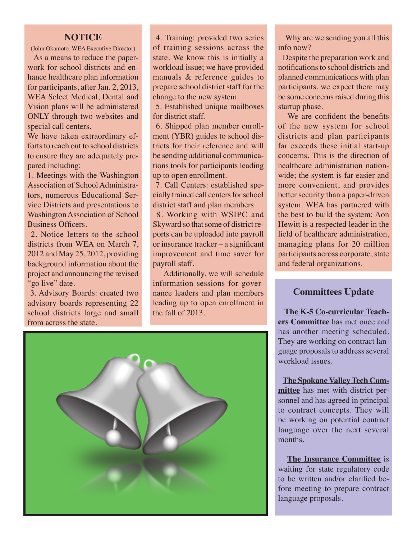#### **NOTICE**

(John Okamoto, WEA Executive Director)

 As a means to reduce the paperwork for school districts and enhance healthcare plan information for participants, after Jan. 2, 2013, WEA Select Medical, Dental and Vision plans will be administered ONLY through two websites and special call centers.

We have taken extraordinary efforts to reach out to school districts to ensure they are adequately prepared including:

1. Meetings with the Washington Association of School Administrators, numerous Educational Service Districts and presentations to Washington Association of School Business Officers.

 2. Notice letters to the school districts from WEA on March 7, 2012 and May 25, 2012, providing background information about the project and announcing the revised "go live" date.

 3. Advisory Boards: created two advisory boards representing 22 school districts large and small from across the state.

 4. Training: provided two series of training sessions across the state. We know this is initially a workload issue; we have provided manuals & reference guides to prepare school district staff for the change to the new system.

 5. Established unique mailboxes for district staff.

 6. Shipped plan member enrollment (YBR) guides to school districts for their reference and will be sending additional communications tools for participants leading up to open enrollment.

 7. Call Centers: established specially trained call centers for school district staff and plan members

 8. Working with WSIPC and Skyward so that some of district reports can be uploaded into payroll or insurance tracker – a significant improvement and time saver for payroll staff.

 Additionally, we will schedule information sessions for governance leaders and plan members leading up to open enrollment in the fall of 2013.



 Why are we sending you all this info now?

 Despite the preparation work and notifications to school districts and planned communications with plan participants, we expect there may be some concerns raised during this startup phase.

 We are confident the benefits of the new system for school districts and plan participants far exceeds these initial start-up concerns. This is the direction of healthcare administration nationwide; the system is far easier and more convenient, and provides better security than a paper-driven system. WEA has partnered with the best to build the system: Aon Hewitt is a respected leader in the field of healthcare administration, managing plans for 20 million participants across corporate, state and federal organizations.

#### **Committees Update**

 **The K-5 Co-curricular Teachers Committee** has met once and has another meeting scheduled. They are working on contract language proposals to address several workload issues.

 **The Spokane Valley Tech Committee** has met with district personnel and has agreed in principal to contract concepts. They will be working on potential contract language over the next several months.

 **The Insurance Committee** is waiting for state regulatory code to be written and/or clarified before meeting to prepare contract language proposals.